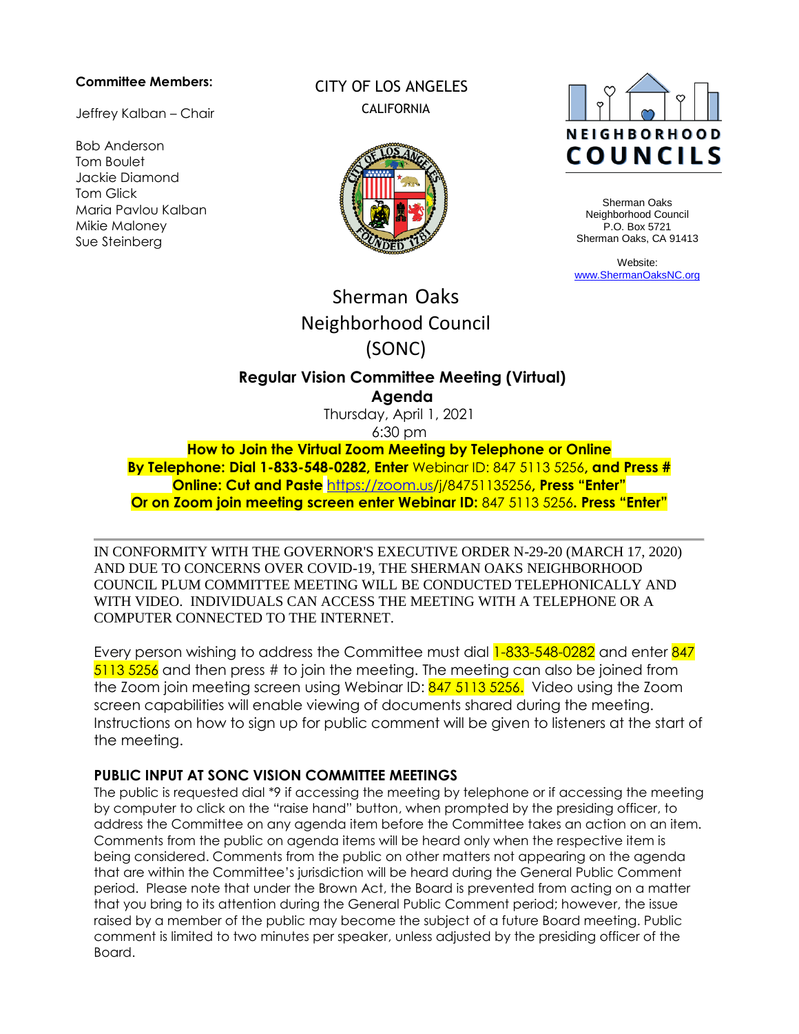#### **Committee Members:**

Jeffrey Kalban – Chair

Bob Anderson Tom Boulet Jackie Diamond Tom Glick Maria Pavlou Kalban Mikie Maloney Sue Steinberg

CITY OF LOS ANGELES CALIFORNIA





Sherman Oaks Neighborhood Council P.O. Box 5721 Sherman Oaks, CA 91413

Website: [www.ShermanOaksNC.org](http://www.shermanoaksnc.org/)

# Sherman Oaks Neighborhood Council (SONC)

## **Regular Vision Committee Meeting (Virtual) Agenda**

Thursday, April 1, 2021 6:30 pm

**How to Join the Virtual Zoom Meeting by Telephone or Online By Telephone: Dial 1-833-548-0282, Enter** Webinar ID: 847 5113 5256**, and Press # Online: Cut and Paste** https://zoom.[us/j/84751135256](https://zoom.us/j/98855253374)**, Press "Enter" Or on Zoom join meeting screen enter Webinar ID:** 847 5113 5256**. Press "Enter"**

IN CONFORMITY WITH THE GOVERNOR'S EXECUTIVE ORDER N-29-20 (MARCH 17, 2020) AND DUE TO CONCERNS OVER COVID-19, THE SHERMAN OAKS NEIGHBORHOOD COUNCIL PLUM COMMITTEE MEETING WILL BE CONDUCTED TELEPHONICALLY AND WITH VIDEO. INDIVIDUALS CAN ACCESS THE MEETING WITH A TELEPHONE OR A COMPUTER CONNECTED TO THE INTERNET.

Every person wishing to address the Committee must dial 1-833-548-0282 and enter 847 5113 5256 and then press # to join the meeting. The meeting can also be joined from the Zoom join meeting screen using Webinar ID: 847 5113 5256. Video using the Zoom screen capabilities will enable viewing of documents shared during the meeting. Instructions on how to sign up for public comment will be given to listeners at the start of the meeting.

### **PUBLIC INPUT AT SONC VISION COMMITTEE MEETINGS**

The public is requested dial \*9 if accessing the meeting by telephone or if accessing the meeting by computer to click on the "raise hand" button, when prompted by the presiding officer, to address the Committee on any agenda item before the Committee takes an action on an item. Comments from the public on agenda items will be heard only when the respective item is being considered. Comments from the public on other matters not appearing on the agenda that are within the Committee's jurisdiction will be heard during the General Public Comment period. Please note that under the Brown Act, the Board is prevented from acting on a matter that you bring to its attention during the General Public Comment period; however, the issue raised by a member of the public may become the subject of a future Board meeting. Public comment is limited to two minutes per speaker, unless adjusted by the presiding officer of the Board.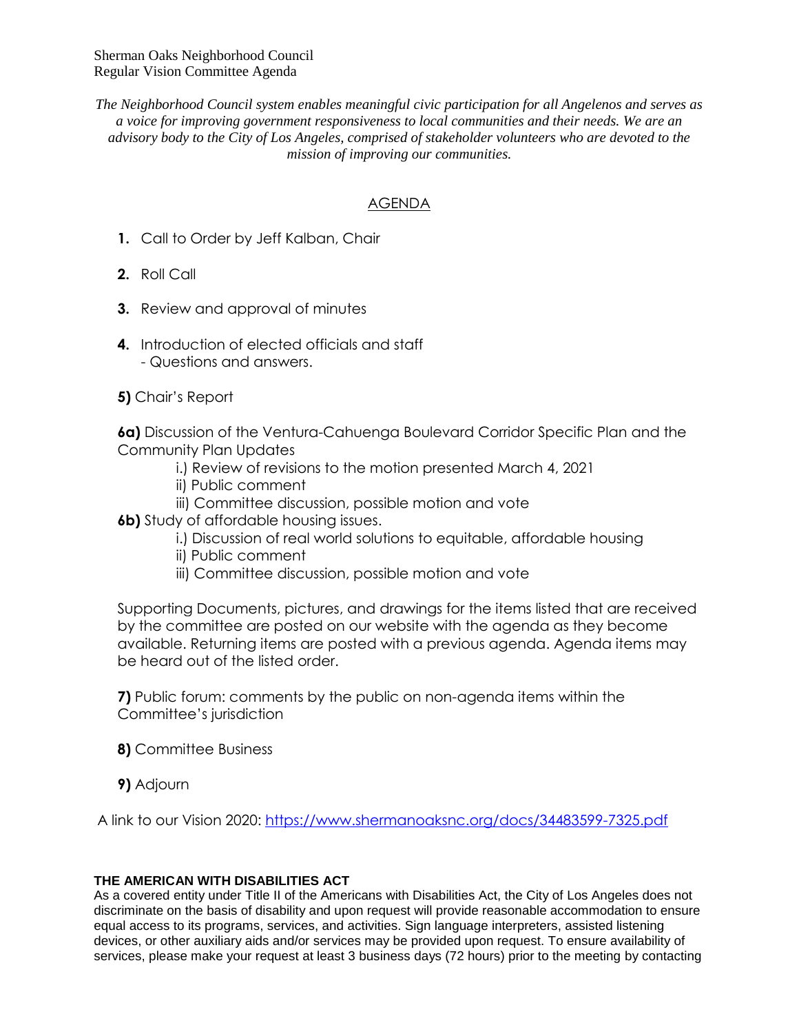*The Neighborhood Council system enables meaningful civic participation for all Angelenos and serves as a voice for improving government responsiveness to local communities and their needs. We are an advisory body to the City of Los Angeles, comprised of stakeholder volunteers who are devoted to the mission of improving our communities.*

## AGENDA

- **1.** Call to Order by Jeff Kalban, Chair
- **2.** Roll Call
- **3.** Review and approval of minutes
- **4.** Introduction of elected officials and staff
	- Questions and answers.
- **5)** Chair's Report

**6a)** Discussion of the Ventura-Cahuenga Boulevard Corridor Specific Plan and the Community Plan Updates

- i.) Review of revisions to the motion presented March 4, 2021
- ii) Public comment
- iii) Committee discussion, possible motion and vote
- **6b)** Study of affordable housing issues.
	- i.) Discussion of real world solutions to equitable, affordable housing
	- ii) Public comment
	- iii) Committee discussion, possible motion and vote

Supporting Documents, pictures, and drawings for the items listed that are received by the committee are posted on our website with the agenda as they become available. Returning items are posted with a previous agenda. Agenda items may be heard out of the listed order.

**7)** Public forum: comments by the public on non-agenda items within the Committee's jurisdiction

- **8)** Committee Business
- **9)** Adjourn

A link to our Vision 2020:<https://www.shermanoaksnc.org/docs/34483599-7325.pdf>

#### **THE AMERICAN WITH DISABILITIES ACT**

As a covered entity under Title II of the Americans with Disabilities Act, the City of Los Angeles does not discriminate on the basis of disability and upon request will provide reasonable accommodation to ensure equal access to its programs, services, and activities. Sign language interpreters, assisted listening devices, or other auxiliary aids and/or services may be provided upon request. To ensure availability of services, please make your request at least 3 business days (72 hours) prior to the meeting by contacting